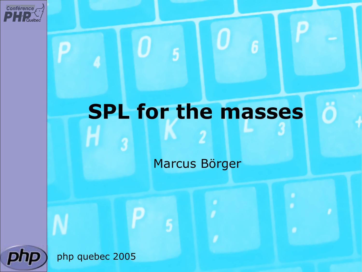

#### **SPL for the masses**

Marcus Börger



php quebec 2005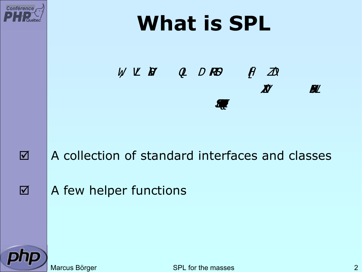





#### A collection of standard interfaces and classes

A few helper functions



Marcus Börger National SPL for the masses 2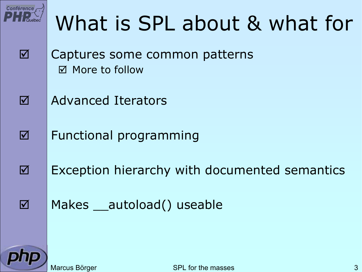

 $\overline{\mathbf{M}}$ 

#### What is SPL about & what for

- $\overline{\mathbf{M}}$  Captures some common patterns ⊠ More to follow
	- Advanced Iterators
	- Functional programming
- $\overline{\mathbf{M}}$  Exception hierarchy with documented semantics
	- Makes autoload() useable



 $\overline{\mathbf{M}}$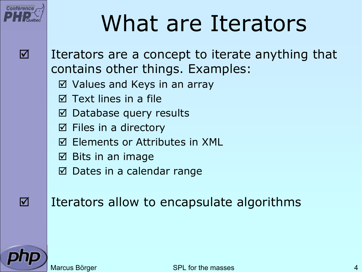

#### What are Iterators



 Iterators are a concept to iterate anything that contains other things. Examples:

- ⊠ Values and Keys in an array
- $\overline{\bm{\mathsf{V}}}$ Text lines in a file
- ⊠ Database query results
- $\boxtimes$  Files in a directory
- $\overline{\bm{\mathsf{V}}}$ Elements or Attributes in XML
- $\boxtimes$  Bits in an image
- ⊠ Dates in a calendar range

 $\overline{\mathbf{M}}$ 

Iterators allow to encapsulate algorithms

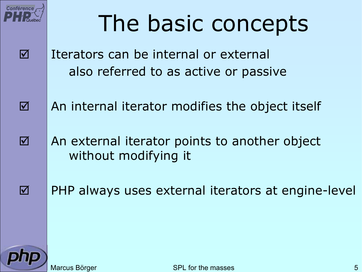

 $\overline{\mathbf{M}}$ 

 $\overline{\mathbf{M}}$ 

### The basic concepts

- Iterators can be internal or external also referred to as active or passive
- $\overline{\mathbf{M}}$  An internal iterator modifies the object itself
	- An external iterator points to another object without modifying it
	- PHP always uses external iterators at engine-level

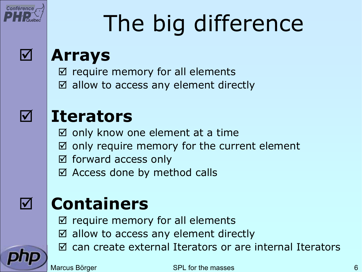

# The big difference



#### **Arrays**

- $\boxtimes$  require memory for all elements
- $\boxtimes$  allow to access any element directly



#### **Iterators**

- $\boxtimes$  only know one element at a time
- $\boldsymbol{\nabla}$ only require memory for the current element
- ⊠ forward access only
- $\boxtimes$  Access done by method calls

#### $\sqrt{ }$

#### **Containers**

- $\Delta$ require memory for all elements
- $\boxtimes$  allow to access any element directly
- $\vert \triangledown$ can create external Iterators or are internal Iterators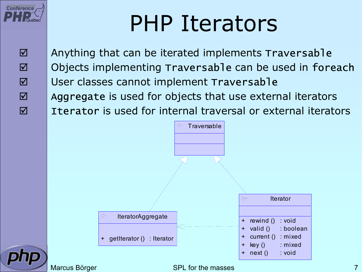

### PHP Iterators

 $\Delta$  $\overline{\mathbf{M}}$  $\overline{\mathbf{M}}$  $\overline{\mathbf{M}}$  $\overline{\mathbf{M}}$   Anything that can be iterated implements Traversable Objects implementing Traversable can be used in foreach User classes cannot implement Traversable Aggregate is used for objects that use external iterators Iterator is used for internal traversal or external iterators



Marcus Börger National SPL for the masses 7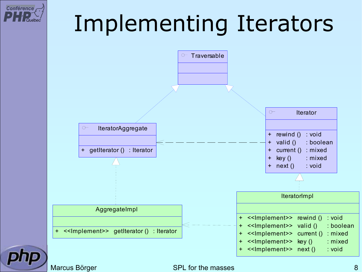## Implementing Iterators



**Conférence** 

#### Marcus Börger SPL for the masses 8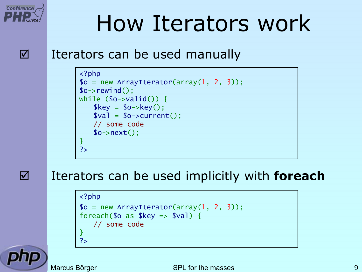

 $\overline{\mathsf{M}}$ 

#### How Iterators work

#### Iterators can be used manually

```
<?php
$o = new ArrayIterator(array(
1, 
2, 
3));
$o->rewind();
while (s_0 \rightarrow \text{valid}() ) {
    $key
= $o->key();
    $val
= $o->current();
    // some code
    $o->next();
}
?>
```
#### Iterators can be used implicitly with **foreach**

```
<?php
$o = new ArrayIterator(array(
1, 
2, 
3));
foreach($o as $key => $val) {
   // some code
}
?>
```
Marcus Börger SPL for the masses 1999 Marcus Börger SPL for the masses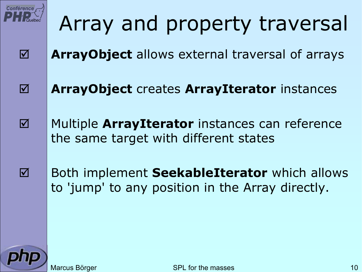

 $\overline{\mathbf{M}}$ 

 $\overline{\mathbf{M}}$ 

 $\overline{\mathbf{M}}$ 

#### Array and property traversal

- **ArrayObject** allows external traversal of arrays
- **ArrayObject** creates **ArrayIterator** instances
	- Multiple **ArrayIterator** instances can reference the same target with different states
- Both implement **SeekableIterator** which allows to 'jump' to any position in the Array directly.

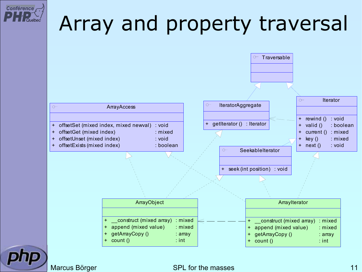

#### Array and property traversal



#### Marcus Börger SPL for the masses 11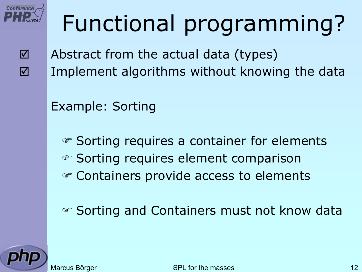

# Functional programming?

 $\overline{\mathbf{M}}$  $\overline{\mathbf{M}}$   Abstract from the actual data (types) Implement algorithms without knowing the data

Example: Sorting

) Sorting requires a container for elements ☞ Sorting requires element comparison  $\circledast$  Containers provide access to elements

) Sorting and Containers must not know data

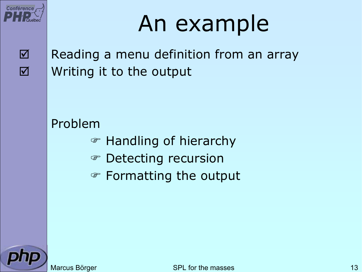

### An example

 $\overline{\mathbf{M}}$  $\overline{\mathbf{M}}$   Reading a menu definition from an array Writing it to the output

#### Problem

- ) Handling of hierarchy
- **Example 23 Detecting recursion**
- **Example 15 Formatting the output**

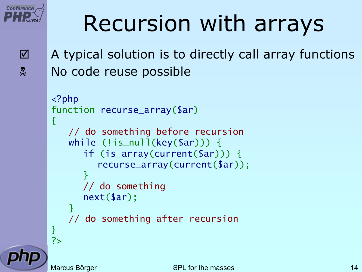

 $\Delta$ 

 $x^2$ 

### Recursion with arrays

 A typical solution is to directly call array functions No code reuse possible

```
<?php
function recurse_array
($ar
)
\{// do something before recursion
    while (!is_null(key
($ar))) {
       if
(is_array
(current
($ar))) {
          recurse_array
(current
($ar));
      }
      // do something
       next
($ar);
    }
    // do something after recursion
}
?>
```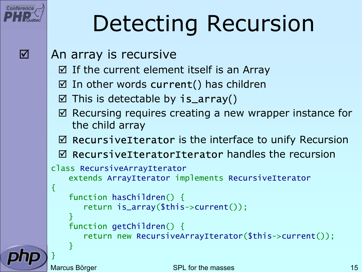

## Detecting Recursion

- An array is recursive
	- $\boxtimes$  If the current element itself is an Array
	- $\boxtimes$  In other words current() has children
	- $\boxtimes$  This is detectable by is\_array()
	- $\boxtimes$  Recursing requires creating a new wrapper instance for the child array
	- $\boxtimes$  RecursiveIterator is the interface to unify Recursion
	- $igi$  RecursiveIteratorIterator handles the recursion

```
class RecursiveArrayIterator
    extends ArrayIterator implements RecursiveIterator
{
```

```
function hasChildren() {
   return is_array
($this->current());
```

```
}
function getChildren() {
   return new RecursiveArrayIterator
($this->current());
```
}

}<br>}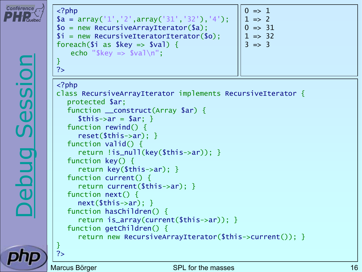



Marcus Börger SPL for the masses 16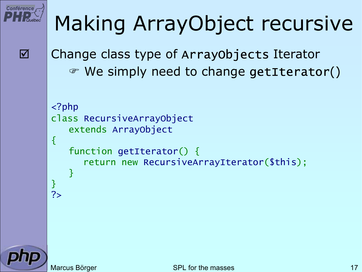

#### Making ArrayObject recursive

 $\overline{\mathbf{M}}$ 

```
 Change class type of ArrayObjects Iterator
  ) We simply need to change getIterator()
```

```
<?php
class RecursiveArrayObject
   extends ArrayObject
{
   function getIterator() {
       return new RecursiveArrayIterator
($this);
   }
<u>}</u>
?>
```
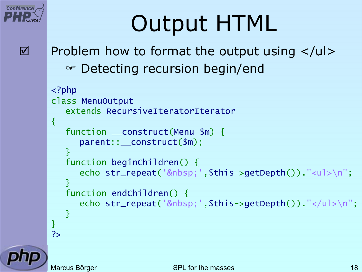

### Output HTML

Problem how to format the output using  $\langle u \rangle$ ) Detecting recursion begin/end

```
<?php
class MenuOutput
   extends RecursiveIteratorIterator
{
   function __construct
(Menu $m) {
      parent::__construct
($m);
   }<br>}
   function beginChildren() {
      echo str_repeat(' ',$this->getDepth())."<ul>\n";
   }<br>}
   function endChildren() {
      echo str_repeat(' ',$this->getDepth())."</ul>\n";
   }<br>}
}
?>
```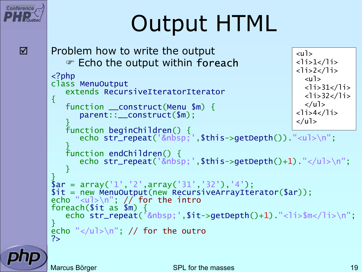## Output HTML

```
 Problem how to write the output
    \mathcal P Echo the output within foreach
\langle?php
class MenuOutput
    extends RecursiveIteratorIterator
{
    function __construct
(Menu $m) {
        parent::__construct
($m);
    }<br>}
    function beginChildren() {<br>;echo str_repeat('&nbsp
    echo str_repeat(' ',$this->getDepth())."<ul>\n";<br>}
   function endChildren() {
        echo str_repeat(' ',$this->getDepth()+1)."</ul>\n";
    }
}<br>}
$ar = array('1','2',array('31','32'),'4');<br>$it = new MenuOutput(new RecursiveArrayIterator($ar));
echo "<ul>\n"; // for the intro
foreach($it as $m) {
    echo str_repeat(' ',$it->getDepth()+1) "<li>$m</li>\n";
}
echo "\langle u \rangle > n"; // for the outro
?>\langle u \rangle<li>1</li>
                                                                   <li>2</li>
                                                                     <sub>u</sub><sub>l</sub></sub></sub>
                                                                     \langleli>31</li>
                                                                     <li>32</li>
                                                                     \langle/ul>
                                                                   <li>4</li>
                                                                   \langle u| \rangle
```
 $\overline{\mathbf{M}}$ 

**Conférence**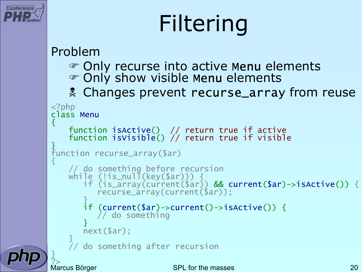

# Filtering

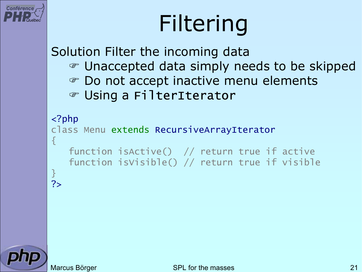

# Filtering

Solution Filter the incoming data ) Unaccepted data simply needs to be skipped  $\mathcal{F}$  Do not accept inactive menu elements ) Using a FilterIterator

#### <?php

```
class Menu extends RecursiveArrayIterator
{
   function isActive() // return true if active
   function isVisible() // return true if visible
}<br>}
```


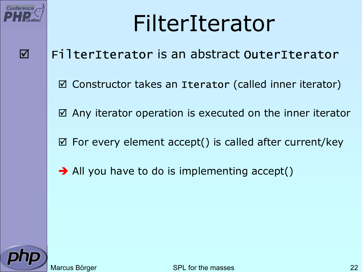

#### FilterIterator

#### FilterIterator is an abstract OuterIterator

- $\boxtimes$  Constructor takes an Iterator (called inner iterator)
- $\boxtimes$  Any iterator operation is executed on the inner iterator
- $\boxtimes$  For every element accept() is called after current/key
- $\rightarrow$  All you have to do is implementing accept()

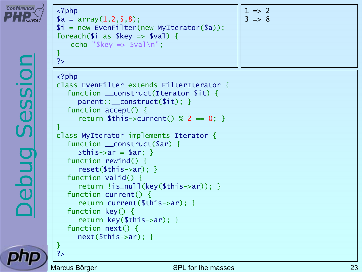

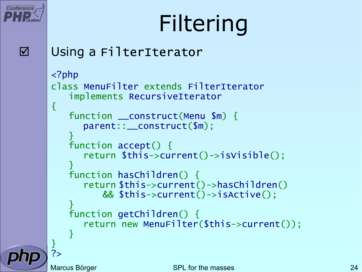

# Filtering

 $\Delta$ 

#### Using a FilterIterator

```
<?php
class MenuFilter extends FilterIterator
   implements RecursiveIterator
{
   function __construct
(Menu $m) {
      parent::__construct
($m);
   }<br>}
   function accept() {
      return $this->current()->isVisible();
   }<br>}
   function hasChildren() {
      return $this->current()->hasChildren()
          && $this->current()->isActive();
   }
   function getChildren() {
      return new MenuFilter
($this->current());
   }
}<br>}
?>
```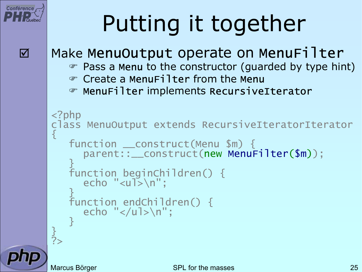## Putting it together

```
Make MenuOutput operate on MenuFilter
```
- $\mathcal{P}$  Pass a Menu to the constructor (guarded by type hint)
- ) Create a MenuFilter from the Menu
- ) MenuFilter implements RecursiveIterator

```
<?php
class MenuOutput extends RecursiveIteratorIterator
{
   function __construct(Menu $m) {
       parent::__construct(new MenuFilter($m));
   }<br>}
   function beginChildren() { echo "<ul>\n";
   }<br>}
   function endChildren() {
      echo "</ul>\n";
   }<br>}
}<br>}
?>
```
 $\overline{\mathbf{M}}$ 

**Conférence**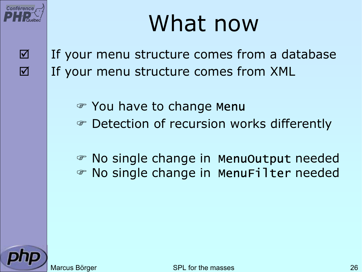

### What now

- $\overline{\mathbf{M}}$  $\overline{\mathbf{M}}$
- If your menu structure comes from a database If your menu structure comes from XML
	- $\textcircled{\ensuremath{\mathcal{C}}}$  You have to change Menu
	- $\circledast$  Detection of recursion works differently
	- ) No single change in MenuOutput needed ) No single change in MenuFilter needed

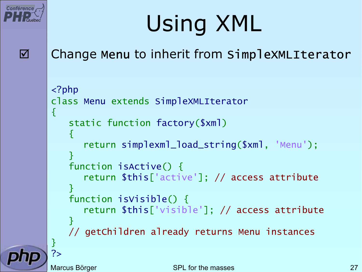

## Using XML

 $\Delta$ 

#### Change Menu to inherit from SimpleXMLIterator

```
<?php
class Menu extends SimpleXMLIterator
\{static function factory
($xml
)
   {5}return simplexml_load_string
($xml, 'Menu');
   }
   function isActive() {
      return $this
['active']; // access attribute
   }
   function isVisible() {
      return $this
['visible']; // access attribute
   }
   // getChildren already returns Menu instances
}
?>
```
Marcus Börger National SPL for the masses 27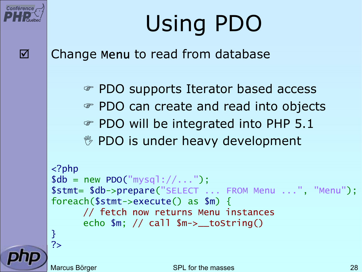

# Using PDO

Change Menu to read from database

) PDO supports Iterator based access ) PDO can create and read into objects **PDO will be integrated into PHP 5.1 <sup>®</sup> PDO is under heavy development** 

```
<?php
$db = new PDO("mysq]: //...");
$stmt
= $db->prepare
("SELECT ... FROM Menu ...", "Menu");
foreach($stmt->execute() as $m) {
      // fetch now returns Menu instances
      echo $m; // call $m->__toString()
}<br>}
?>
```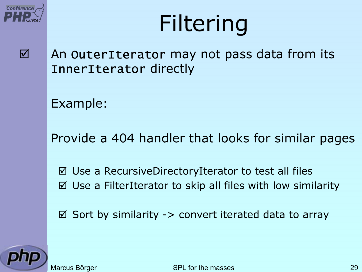

## Filtering

 $\overline{\mathbf{M}}$ 

 An OuterIterator may not pass data from its InnerIterator directly

Example:

Provide a 404 handler that looks for similar pages

⊠ Use a RecursiveDirectoryIterator to test all files  $\boxtimes$  Use a FilterIterator to skip all files with low similarity

 $\boxtimes$  Sort by similarity -> convert iterated data to array

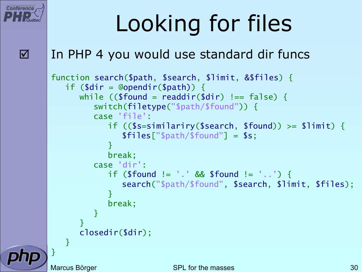

## Looking for files

#### In PHP 4 you would use standard dir funcs

```
function search
($path, $search, $limit, &$files) {
   if ($dir = @opendir($path)) {
      while (($found 
= readdir
($dir) !== false) {
         switch(filetype
("$path/$found")) {
         case 'file':
             if (($s
=similariry
($search, $found)) >= $limit) {
                $files
["$path/$found"] = $s;
            }
            break;
         case 'dir':
            if ($found != '.' && $found != '..') {
                search
("$path/$found", $search, $limit, $files);
            }<br>}
            break;
         }
      }
      closedir
($dir);
  }
}<br>}
```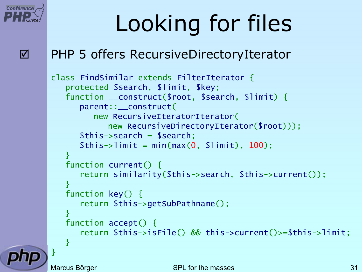

## Looking for files

#### PHP 5 offers RecursiveDirectoryIterator

```
class FindSimilar extends FilterIterator
{
  protected $search, $limit, $key;
   function __construct
($root, $search, $limit) {
      parent::__construct
(
         new RecursiveIteratorIterator
(
            new RecursiveDirectoryIterator
($root)));
      $this->search 
= $search;
      $this->limit 
= min
(max
(
0, $limit), 100);
  }
  function current() {
      return similarity
($this->search, $this->current()); 
   }
  function key() {
      return $this->getSubPathname();
   }<br>}
   function accept() {
      return $this->isFile() && this->current()>=$this->limit;
  }
```
}<br>}

Marcus Börger SPL for the masses 31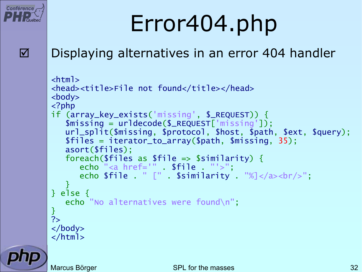

# Error404.php

 $\overline{\mathbf{M}}$ 

#### Displaying alternatives in an error 404 handler

```
<html><head><title>File not found</title></head>
<body>
<?php
if (array_key_exists
('missing', $_REQUEST)) {
   $missing = urldecode
($_REQUEST
['missing']);
   url_split
($missing, $protocol, $host, $path, $ext, $query);
   $files = iterator_to_array
($path, $missing, 35);
   asort
($files);
   foreach($files as $file => $similarity) {
      echo "<a href='" . $file . "'>";
      echo $file . " [" . $similarity . "%]</a><br/>>br/>";
   }
} else {
   echo "No alternatives were found\n";
}<br>}
?</body>
</html>
```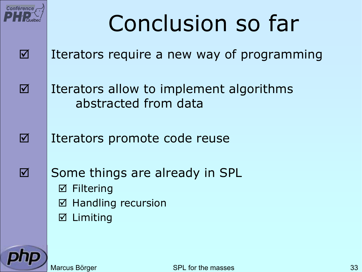

 $\overline{\mathbf{M}}$ 

 $\overline{\mathbf{M}}$ 

## Conclusion so far

- $\overline{\mathbf{M}}$  Iterators require a new way of programming
	- Iterators allow to implement algorithms abstracted from data
	- Iterators promote code reuse
	- Some things are already in SPL  $\boxtimes$  Filtering  $\sqrt{ }$  Handling recursion
		- $\triangledown$ Limiting

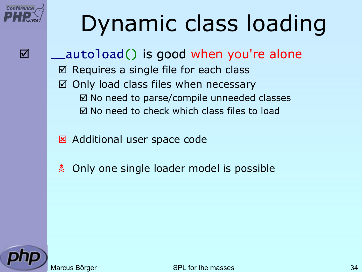

### Dynamic class loading

 $\overline{\mathbf{M}}$ 

⊠ |\_\_autoload() is good when you're alone  $\sqrt{ }$  Requires a single file for each class  $\vert \triangledown$  Only load class files when necessary ⊠ No need to parse/compile unneeded classes  $\boxtimes$  No need to check which class files to load

**E Additional user space code** 

 $\mathbf{R}$ Only one single loader model is possible



Marcus Börger National SPL for the masses 34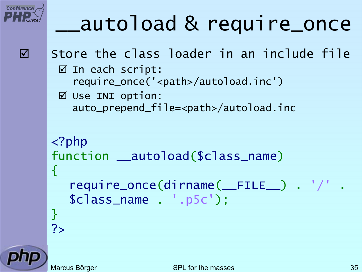

#### \_\_autoload & require\_once

```
 Store the class loader in an include file
 ⊠ In each script:
   require_once('<path>/autoload.inc')
 \boxtimes Use INI option:
   auto_prepend_file=<path>/autoload.inc
<?php
function __autoload
($class_name
)
{
   require_once
(dirname
(__FILE__) . '/' .
   $class_name . '.p5c');
<u>}</u>
?>
```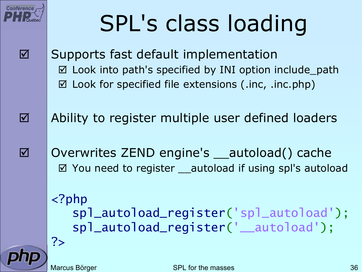# SPL's class loading

- Supports fast default implementation ⊠ Look into path's specified by INI option include\_path  $\boxtimes$  Look for specified file extensions (.inc, .inc.php)
- $\overline{\mathbf{M}}$  Ability to register multiple user defined loaders
	- Overwrites ZEND engine's autoload() cache ⊠ You need to register \_\_autoload if using spl's autoload
		- <?php spl\_autoload\_register ('spl\_autoload'); spl\_autoload\_register ('\_\_autoload'); ?>



 $\overline{\mathbf{M}}$ 

**Conférence** 

 $\overline{\mathbf{M}}$ 

Marcus Börger SPL for the masses 36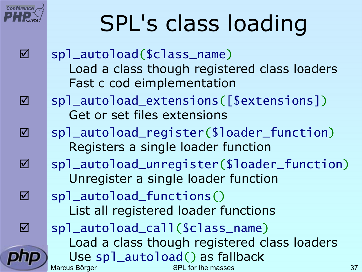# SPL's class loading

- ⊠ |spl\_autoload(\$class\_name) Load a class though registered class loaders Fast c cod eimplementation
- ⊠ |spl\_autoload\_extensions([\$extensions]) Get or set files extensions
- ⊠ |spl\_autoload\_register(\$loader\_function) Registers a single loader function
- ⊠ |spl\_autoload\_unregister(\$loader\_function) Unregister a single loader function
	- spl\_autoload\_functions() List all registered loader functions

 $\overline{\mathbf{M}}$ 

**Conférence** 

 $\overline{\mathbf{M}}$ 

 $\overline{\mathbf{M}}$ 

 $\overline{\mathbf{M}}$ 

 $\overline{\mathbf{M}}$ 

 $\overline{\mathbf{M}}$ 

Marcus Börger SPL for the masses 37 ⊠ |spl\_autoload\_call(\$class\_name) Load a class though registered class loaders Use spl\_autoload() as fallback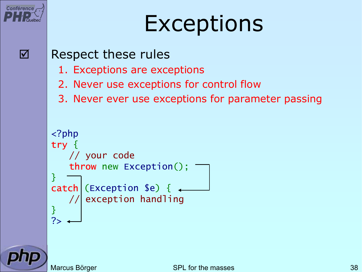

### Exceptions



#### Respect these rules

- 1. Exceptions are exceptions
- 2. Never use exceptions for control flow
- 3. Never ever use exceptions for parameter passing



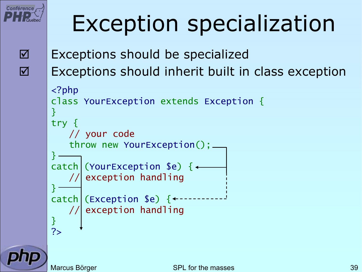

### Exception specialization

 $\overline{\mathbf{M}}$  $\Delta$ 

```
 Exceptions should be specialized
 Exceptions should inherit built in class exception
<?php
class YourException extends Exception 
{
}
try {
    // your code
    throw new YourException();
}<br>}
\text{catch} (YourException $e) {\leftarrowexception handling
}<br>}
catch (Exception $e) \{\leftarrow\}// exception handling
}
?>
```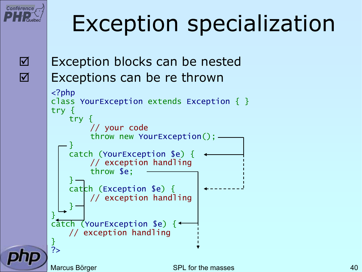

### Exception specialization

 $\Delta$  $\overline{\mathbf{M}}$ 

 Exception blocks can be nested Exceptions can be re thrown

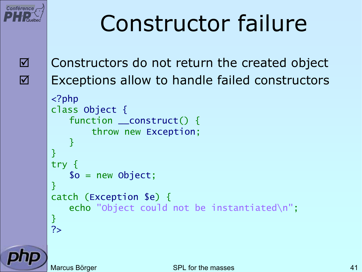

### Constructor failure

 $\overline{\mathbf{M}}$ 

 $\overline{\mathbf{M}}$ 

 Constructors do not return the created object Exceptions allow to handle failed constructors <?php class Object { function \_\_construct() { throw new Exception; } } try { \$o = new Object; } catch (Exception \$e) { echo "Object could not be instantiated\n"; }

?>

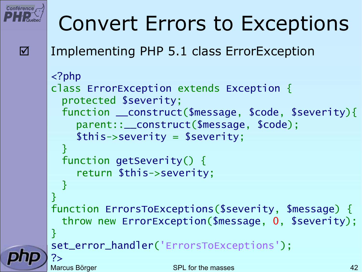

#### Convert Errors to Exceptions

Implementing PHP 5.1 class ErrorException

```
Marcus Börger SPL for the masses 42
<?php
class ErrorException extends Exception
{
 protected $severity;
  function __construct
($message, $code, $severity){
    parent::__construct
($message, $code);
    $this->severity = $severity;
  }<br>}
 function getSeverity() {
    return $this->severity;
  }<br>}
<u>}</u>
function ErrorsToExceptions
($severity, $message) {
  throw new ErrorException
($message, 
0, $severity);
}
set_error_handler
('ErrorsToExceptions');
?>
```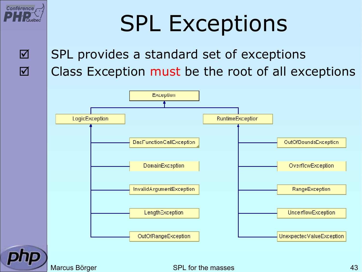

### SPL Exceptions

 $\overline{\mathbf{M}}$  $\overline{\mathbf{M}}$ 

#### SPL provides a standard set of exceptions Class Exception must be the root of all exceptions



Marcus Börger National SPL for the masses 1998 and 1998 and 1998 and 1998 and 1998 and 1998 and 1998 and 1998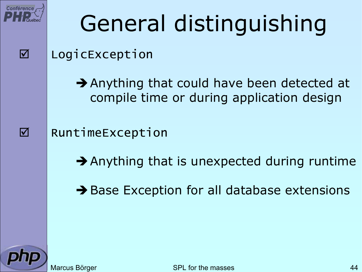

 $\Delta$ 

 $\overline{\mathbf{M}}$ 

# General distinguishing

#### LogicException

 $\rightarrow$  Anything that could have been detected at compile time or during application design

RuntimeException

 $\rightarrow$  Anything that is unexpected during runtime

 $\rightarrow$  Base Exception for all database extensions

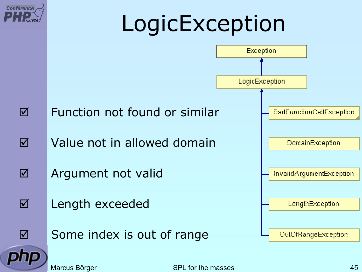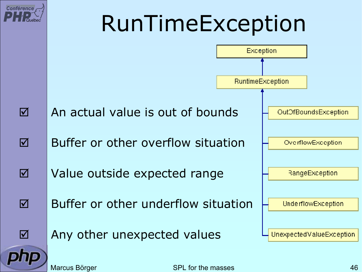

Marcus Börger National SPL for the masses 46